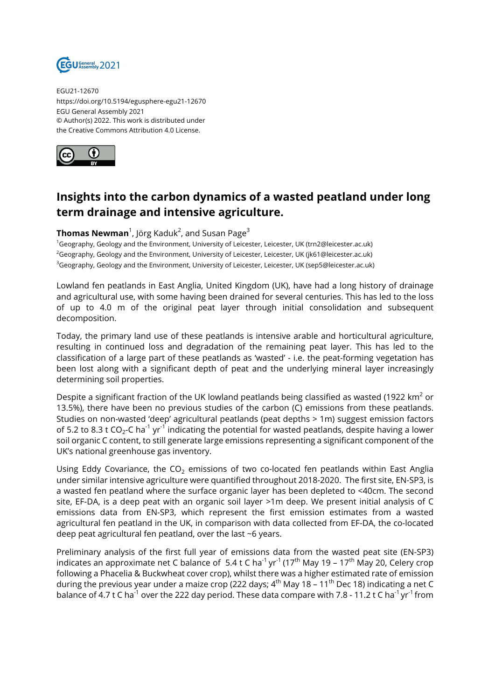

EGU21-12670 https://doi.org/10.5194/egusphere-egu21-12670 EGU General Assembly 2021 © Author(s) 2022. This work is distributed under the Creative Commons Attribution 4.0 License.



## **Insights into the carbon dynamics of a wasted peatland under long term drainage and intensive agriculture.**

## ${\sf Thomas\, Newman}^1$ , Jörg Kaduk $^2$ , and Susan Page $^3$

<sup>1</sup>Geography, Geology and the Environment, University of Leicester, Leicester, UK (trn2@leicester.ac.uk)  $2G$ eography, Geology and the Environment, University of Leicester, Leicester, UK (jk61@leicester.ac.uk) <sup>3</sup>Geography, Geology and the Environment, University of Leicester, Leicester, UK (sep5@leicester.ac.uk)

Lowland fen peatlands in East Anglia, United Kingdom (UK), have had a long history of drainage and agricultural use, with some having been drained for several centuries. This has led to the loss of up to 4.0 m of the original peat layer through initial consolidation and subsequent decomposition.

Today, the primary land use of these peatlands is intensive arable and horticultural agriculture, resulting in continued loss and degradation of the remaining peat layer. This has led to the classification of a large part of these peatlands as 'wasted' - i.e. the peat-forming vegetation has been lost along with a significant depth of peat and the underlying mineral layer increasingly determining soil properties.

Despite a significant fraction of the UK lowland peatlands being classified as wasted (1922 km $^2$  or 13.5%), there have been no previous studies of the carbon (C) emissions from these peatlands. Studies on non-wasted 'deep' agricultural peatlands (peat depths > 1m) suggest emission factors of 5.2 to 8.3 t CO<sub>2</sub>-C ha $^{\text{-1}}$  yr $^{\text{-1}}$  indicating the potential for wasted peatlands, despite having a lower soil organic C content, to still generate large emissions representing a significant component of the UK's national greenhouse gas inventory.

Using Eddy Covariance, the  $CO<sub>2</sub>$  emissions of two co-located fen peatlands within East Anglia under similar intensive agriculture were quantified throughout 2018-2020. The first site, EN-SP3, is a wasted fen peatland where the surface organic layer has been depleted to <40cm. The second site, EF-DA, is a deep peat with an organic soil layer >1m deep. We present initial analysis of C emissions data from EN-SP3, which represent the first emission estimates from a wasted agricultural fen peatland in the UK, in comparison with data collected from EF-DA, the co-located deep peat agricultural fen peatland, over the last ~6 years.

Preliminary analysis of the first full year of emissions data from the wasted peat site (EN-SP3) indicates an approximate net C balance of 5.4 t C ha<sup>-1</sup> yr<sup>-1</sup> (17<sup>th</sup> May 19 – 17<sup>th</sup> May 20, Celery crop following a Phacelia & Buckwheat cover crop), whilst there was a higher estimated rate of emission during the previous year under a maize crop (222 days;  $4^{th}$  May 18 – 11<sup>th</sup> Dec 18) indicating a net C balance of 4.7 t C ha<sup>-1</sup> over the 222 day period. These data compare with 7.8 - 11.2 t C ha<sup>-1</sup> yr<sup>-1</sup> from